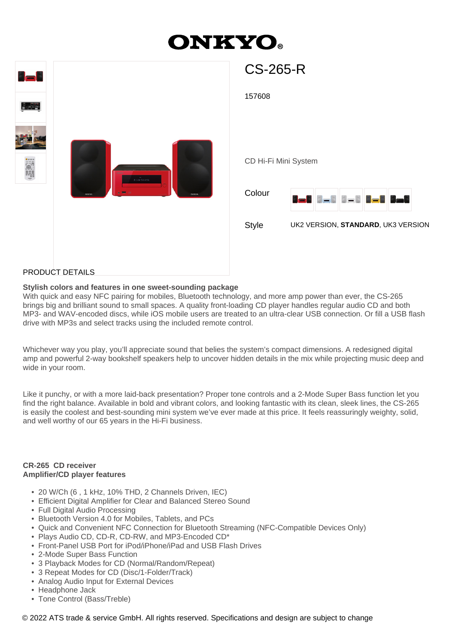# **ONKYO.**

| <b>CS-265-R</b>                                                                                              |
|--------------------------------------------------------------------------------------------------------------|
| 157608                                                                                                       |
| CD Hi-Fi Mini System<br>Colour<br><u> 8-8 8-8 8-8 8-8 8-8</u><br>Style<br>UK2 VERSION, STANDARD, UK3 VERSION |
|                                                                                                              |

#### PRODUCT DETAILS

#### **Stylish colors and features in one sweet-sounding package**

With quick and easy NFC pairing for mobiles, Bluetooth technology, and more amp power than ever, the CS-265 brings big and brilliant sound to small spaces. A quality front-loading CD player handles regular audio CD and both MP3- and WAV-encoded discs, while iOS mobile users are treated to an ultra-clear USB connection. Or fill a USB flash drive with MP3s and select tracks using the included remote control.

Whichever way you play, you'll appreciate sound that belies the system's compact dimensions. A redesigned digital amp and powerful 2-way bookshelf speakers help to uncover hidden details in the mix while projecting music deep and wide in your room.

Like it punchy, or with a more laid-back presentation? Proper tone controls and a 2-Mode Super Bass function let you find the right balance. Available in bold and vibrant colors, and looking fantastic with its clean, sleek lines, the CS-265 is easily the coolest and best-sounding mini system we've ever made at this price. It feels reassuringly weighty, solid, and well worthy of our 65 years in the Hi-Fi business.

#### **CR-265 CD receiver Amplifier/CD player features**

- 20 W/Ch (6 , 1 kHz, 10% THD, 2 Channels Driven, IEC)
- Efficient Digital Amplifier for Clear and Balanced Stereo Sound
- Full Digital Audio Processing
- Bluetooth Version 4.0 for Mobiles, Tablets, and PCs
- Quick and Convenient NFC Connection for Bluetooth Streaming (NFC-Compatible Devices Only)
- Plays Audio CD, CD-R, CD-RW, and MP3-Encoded CD\*
- Front-Panel USB Port for iPod/iPhone/iPad and USB Flash Drives
- 2-Mode Super Bass Function
- 3 Playback Modes for CD (Normal/Random/Repeat)
- 3 Repeat Modes for CD (Disc/1-Folder/Track)
- Analog Audio Input for External Devices
- Headphone Jack
- Tone Control (Bass/Treble)

© 2022 ATS trade & service GmbH. All rights reserved. Specifications and design are subject to change